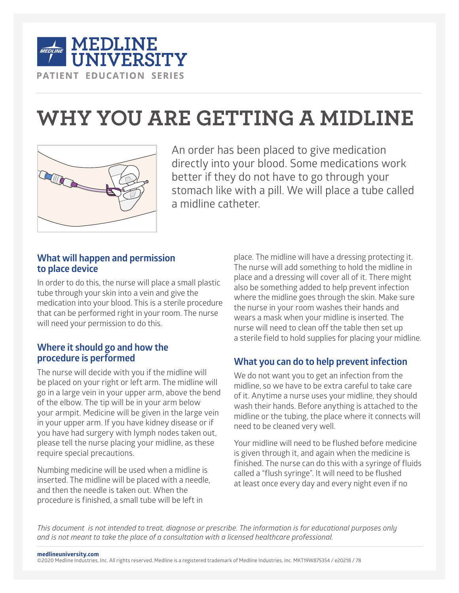

# **WHY YOU ARE GETTING A MIDLINE**



An order has been placed to give medication directly into your blood. Some medications work better if they do not have to go through your stomach like with a pill. We will place a tube called a midline catheter.

## **What will happen and permission to place device**

In order to do this, the nurse will place a small plastic tube through your skin into a vein and give the medication into your blood. This is a sterile procedure that can be performed right in your room. The nurse will need your permission to do this.

## **Where it should go and how the procedure is performed**

The nurse will decide with you if the midline will be placed on your right or left arm. The midline will go in a large vein in your upper arm, above the bend of the elbow. The tip will be in your arm below your armpit. Medicine will be given in the large vein in your upper arm. If you have kidney disease or if you have had surgery with lymph nodes taken out, please tell the nurse placing your midline, as these require special precautions.

Numbing medicine will be used when a midline is inserted. The midline will be placed with a needle, and then the needle is taken out. When the procedure is finished, a small tube will be left in

place. The midline will have a dressing protecting it. The nurse will add something to hold the midline in place and a dressing will cover all of it. There might also be something added to help prevent infection where the midline goes through the skin. Make sure the nurse in your room washes their hands and wears a mask when your midline is inserted. The nurse will need to clean off the table then set up a sterile field to hold supplies for placing your midline.

# **What you can do to help prevent infection**

We do not want you to get an infection from the midline, so we have to be extra careful to take care of it. Anytime a nurse uses your midline, they should wash their hands. Before anything is attached to the midline or the tubing, the place where it connects will need to be cleaned very well.

Your midline will need to be flushed before medicine is given through it, and again when the medicine is finished. The nurse can do this with a syringe of fluids called a "flush syringe". It will need to be flushed at least once every day and every night even if no

This document is not intended to treat, diagnose or prescribe. The information is for educational purposes only *and is not meant to take the place of a consultation with a licensed healthcare professional.*